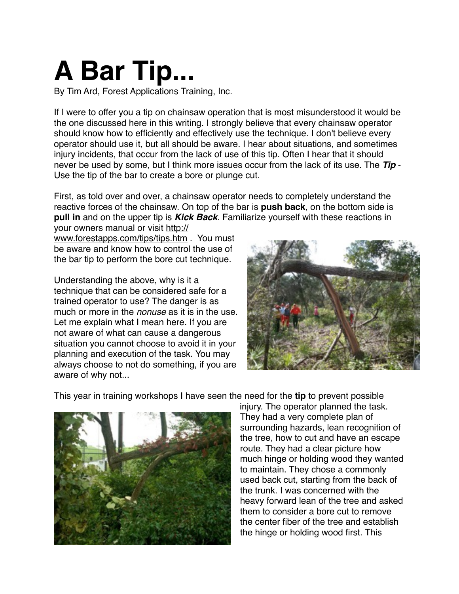## **A Bar Tip...**

By Tim Ard, Forest Applications Training, Inc.

If I were to offer you a tip on chainsaw operation that is most misunderstood it would be the one discussed here in this writing. I strongly believe that every chainsaw operator should know how to efficiently and effectively use the technique. I don't believe every operator should use it, but all should be aware. I hear about situations, and sometimes injury incidents, that occur from the lack of use of this tip. Often I hear that it should never be used by some, but I think more issues occur from the lack of its use. The *Tip* - Use the tip of the bar to create a bore or plunge cut.

First, as told over and over, a chainsaw operator needs to completely understand the reactive forces of the chainsaw. On top of the bar is **push back**, on the bottom side is **pull in** and on the upper tip is *Kick Back*. Familiarize yourself with these reactions in

your owners manual or visit [http://](http://www.forestapps.com/tips/tips.htm) [www.forestapps.com/tips/tips.htm](http://www.forestapps.com/tips/tips.htm) . You must be aware and know how to control the use of the bar tip to perform the bore cut technique.

Understanding the above, why is it a technique that can be considered safe for a trained operator to use? The danger is as much or more in the *nonuse* as it is in the use. Let me explain what I mean here. If you are not aware of what can cause a dangerous situation you cannot choose to avoid it in your planning and execution of the task. You may always choose to not do something, if you are aware of why not...



This year in training workshops I have seen the need for the **tip** to prevent possible



injury. The operator planned the task. They had a very complete plan of surrounding hazards, lean recognition of the tree, how to cut and have an escape route. They had a clear picture how much hinge or holding wood they wanted to maintain. They chose a commonly used back cut, starting from the back of the trunk. I was concerned with the heavy forward lean of the tree and asked them to consider a bore cut to remove the center fiber of the tree and establish the hinge or holding wood first. This